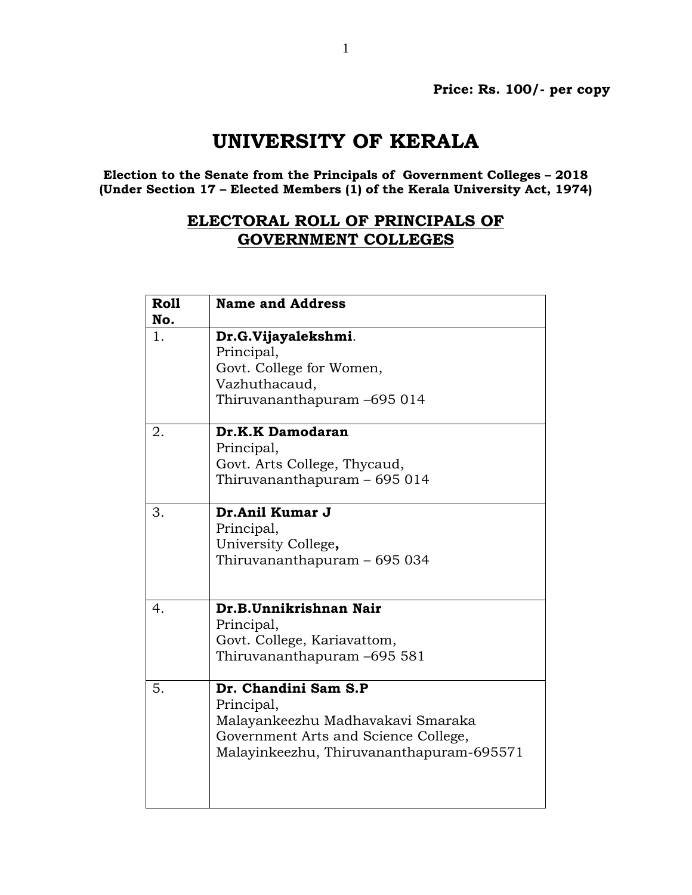## **UNIVERSITY OF KERALA**

**Election to the Senate from the Principals of Government Colleges – 2018 (Under Section 17 – Elected Members (1) of the Kerala University Act, 1974)**

## **ELECTORAL ROLL OF PRINCIPALS OF GOVERNMENT COLLEGES**

| <b>Roll</b> | <b>Name and Address</b>                  |
|-------------|------------------------------------------|
| No.         |                                          |
| 1.          | Dr.G.Vijayalekshmi.                      |
|             | Principal,                               |
|             | Govt. College for Women,                 |
|             | Vazhuthacaud,                            |
|             | Thiruvananthapuram -695 014              |
| 2.          | Dr.K.K Damodaran                         |
|             | Principal,                               |
|             | Govt. Arts College, Thycaud,             |
|             | Thiruvananthapuram - 695 014             |
|             |                                          |
| 3.          | Dr.Anil Kumar J                          |
|             | Principal,                               |
|             | University College,                      |
|             | Thiruvananthapuram - 695 034             |
|             |                                          |
| 4.          | Dr.B.Unnikrishnan Nair                   |
|             |                                          |
|             | Principal,                               |
|             | Govt. College, Kariavattom,              |
|             | Thiruvananthapuram -695 581              |
| 5.          | Dr. Chandini Sam S.P                     |
|             | Principal,                               |
|             | Malayankeezhu Madhavakavi Smaraka        |
|             | Government Arts and Science College,     |
|             | Malayinkeezhu, Thiruvananthapuram-695571 |
|             |                                          |
|             |                                          |
|             |                                          |
|             |                                          |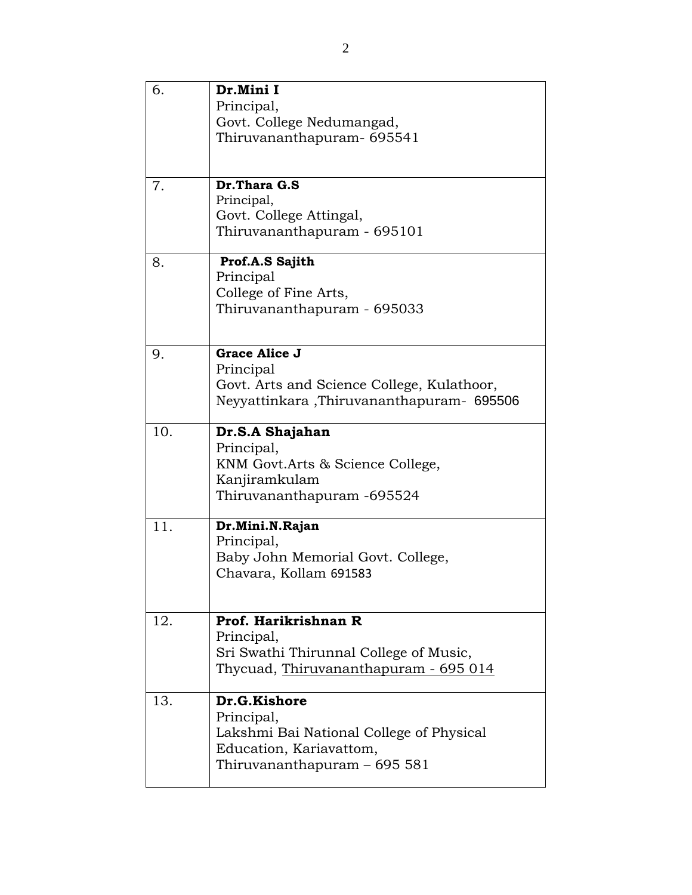| 6.  | Dr.Mini I<br>Principal,<br>Govt. College Nedumangad,                                                                              |
|-----|-----------------------------------------------------------------------------------------------------------------------------------|
|     | Thiruvananthapuram- 695541                                                                                                        |
| 7.  | Dr. Thara G.S<br>Principal,<br>Govt. College Attingal,<br>Thiruvananthapuram - 695101                                             |
| 8.  | Prof.A.S Sajith<br>Principal<br>College of Fine Arts,<br>Thiruvananthapuram - 695033                                              |
| 9.  | <b>Grace Alice J</b><br>Principal<br>Govt. Arts and Science College, Kulathoor,<br>Neyyattinkara, Thiruvananthapuram- 695506      |
| 10. | Dr.S.A Shajahan<br>Principal,<br>KNM Govt. Arts & Science College,<br>Kanjiramkulam<br>Thiruvananthapuram -695524                 |
| 11. | Dr.Mini.N.Rajan<br>Principal,<br>Baby John Memorial Govt. College,<br>Chavara, Kollam 691583                                      |
| 12. | Prof. Harikrishnan R<br>Principal,<br>Sri Swathi Thirunnal College of Music,<br>Thycuad, Thiruvananthapuram - 695 014             |
| 13. | Dr.G.Kishore<br>Principal,<br>Lakshmi Bai National College of Physical<br>Education, Kariavattom,<br>Thiruvananthapuram - 695 581 |